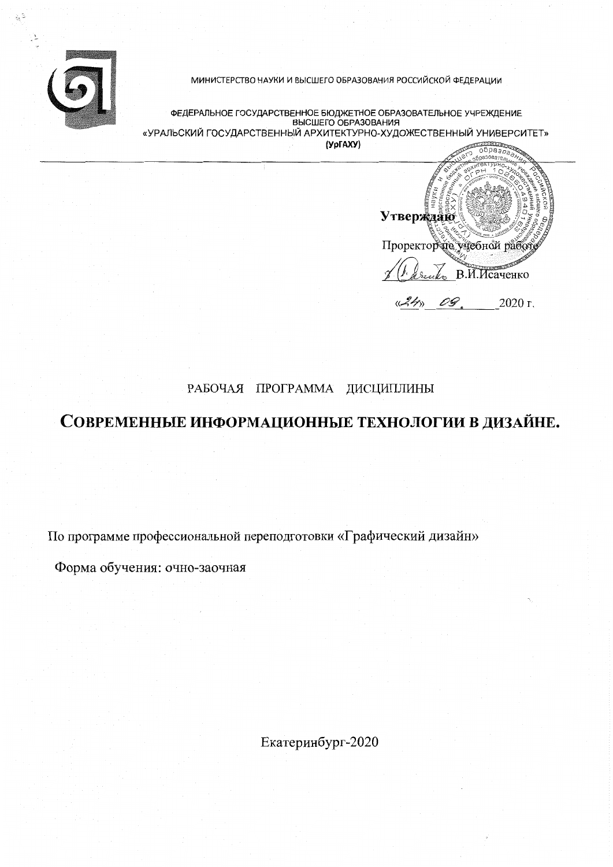

 $\gtrsim 2$ 

МИНИСТЕРСТВО НАУКИ И ВЫСШЕГО ОБРАЗОВАНИЯ РОССИЙСКОЙ ФЕДЕРАЦИИ

ФЕДЕРАЛЬНОЕ ГОСУДАРСТВЕННОЕ БЮДЖЕТНОЕ ОБРАЗОВАТЕЛЬНОЕ УЧРЕЖДЕНИЕ BHCWEFO OFPA3OBAHUS «УРАЛЬСКИЙ ГОСУДАРСТВЕННЫЙ АРХИТЕКТУРНО-ХУДОЖЕСТВЕННЫЙ УНИВЕРСИТЕТ» (УрГАХУ)

**Утверждаю** Проректорей учебной работ real B.M. McayeHKO 09 2020 г.

# РАБОЧАЯ ПРОГРАММА ДИСЦИПЛИНЫ

# СОВРЕМЕННЫЕ ИНФОРМАЦИОННЫЕ ТЕХНОЛОГИИ В ДИЗАЙНЕ.

По программе профессиональной переподготовки «Графический дизайн»

Форма обучения: очно-заочная

Екатеринбург-2020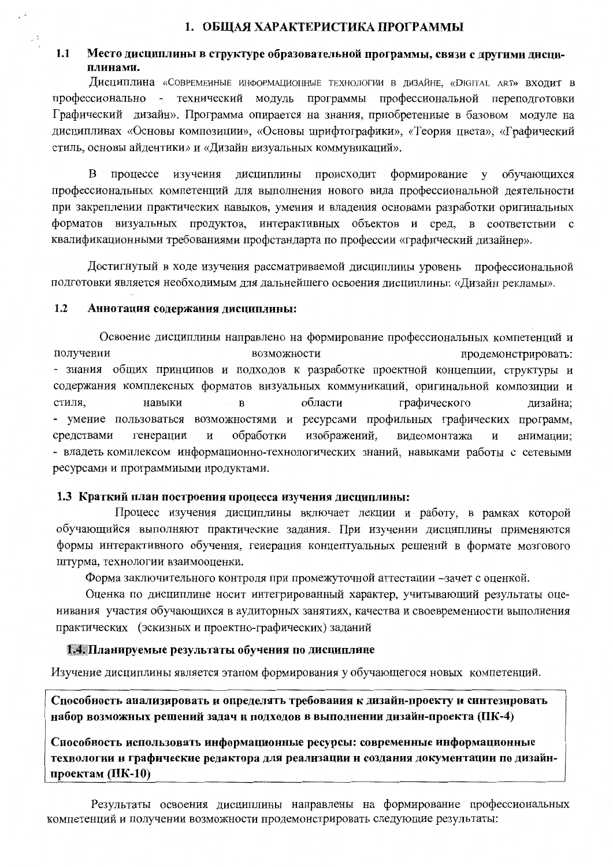### 1. ОБЩАЯ ХАРАКТЕРИСТИКА ПРОГРАММЫ

### $1.1$ Место дисциплины в структуре образовательной программы, связи с другими дисциплинами.

Дисциплина «Современные информационные технологии в дизайне, «Digital art» входит в профессионально - технический модуль программы профессиональной переподготовки Графический дизайн». Программа опирается на знания, приобретенные в базовом модуле на дисциплинах «Основы композиции», «Основы шрифтографики», «Теория цвета», «Графический стиль, основы айдентики» и «Дизайн визуальных коммуникаций».

B процессе изучения дисциплины происходит формирование обучающихся  $V$ профессиональных компетенций для выполнения нового вида профессиональной деятельности при закреплении практических навыков, умения и владения основами разработки оригинальных форматов визуальных продуктов, интерактивных объектов и сред, в соответствии с квалификационными требованиями профстандарта по профессии «графический дизайнер».

Достигнутый в ходе изучения рассматриваемой дисциплины уровень профессиональной подготовки является необходимым для дальнейшего освоения дисциплины: «Дизайн рекламы».

### $1.2$ Аннотация содержания дисциплины:

 $\Box$ 

Освоение дисциплины направлено на формирование профессиональных компетенций и получении возможности продемонстрировать: - знания общих принципов и подходов к разработке проектной концепции, структуры и содержания комплексных форматов визуальных коммуникаций, оригинальной композиции и стиля. навыки области графического  $\overline{B}$ дизайна; - умение пользоваться возможностями и ресурсами профильных графических программ, обработки изображений, средствами генерации  $\mathbf H$ видеомонтажа анимации;  $\overline{M}$ - владеть комплексом информационно-технологических знаний, навыками работы с сетевыми ресурсами и программными продуктами.

### 1.3 Краткий план построения процесса изучения дисциплины:

Процесс изучения дисциплины включает лекции и работу, в рамках которой обучающийся выполняют практические задания. При изучении дисциплины применяются формы интерактивного обучения, генерация концептуальных решений в формате мозгового штурма, технологии взаимооценки.

Форма заключительного контроля при промежуточной аттестации -зачет с оценкой.

Оценка по дисциплине носит интегрированный характер, учитывающий результаты оценивания участия обучающихся в аудиторных занятиях, качества и своевременности выполнения практических (эскизных и проектно-графических) заданий

### 1.4. Планируемые результаты обучения по дисциплине

Изучение дисциплины является этапом формирования у обучающегося новых компетенций.

Способность анализировать и определять требования к дизайн-проекту и синтезировать набор возможных решений задач и подходов в выполнении дизайн-проекта (ПК-4)

Способность использовать информационные ресурсы: современные информационные технологии и графические редактора для реализации и создания документации по дизайнпроектам  $(IIK-10)$ 

Результаты освоения дисциплины направлены на формирование профессиональных компетенций и получении возможности продемонстрировать следующие результаты: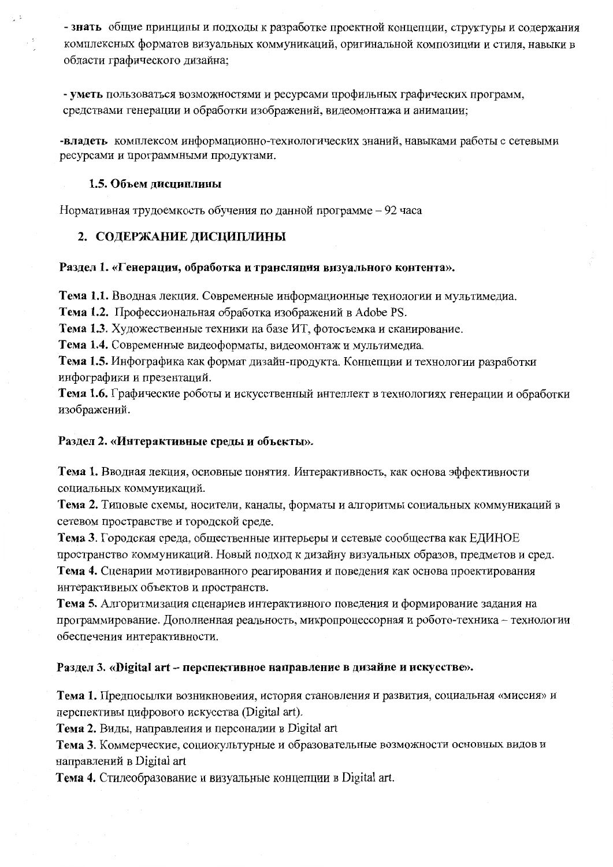- знать общие принципы и подходы к разработке проектной концепции, структуры и содержания комплексных форматов визуальных коммуникаций, оригинальной композиции и стиля, навыки в области графического дизайна;

- уметь пользоваться возможностями и ресурсами профильных графических программ, средствами генерации и обработки изображений, видеомонтажа и анимации:

-владеть комплексом информационно-технологических знаний, навыками работы с сетевыми ресурсами и программными продуктами.

### 1.5. Объем дисциплины

 $\frac{1}{2}$ 

Нормативная трудоемкость обучения по данной программе - 92 часа

### 2. СОДЕРЖАНИЕ ДИСЦИПЛИНЫ

### Раздел 1. «Генерация, обработка и трансляция визуального контента».

Тема 1.1. Вводная лекция. Современные информационные технологии и мультимедиа.

Тема 1.2. Профессиональная обработка изображений в Adobe PS.

Тема 1.3. Художественные техники на базе ИТ, фотосъемка и сканирование.

Тема 1.4. Современные видеоформаты, видеомонтаж и мультимедиа.

Тема 1.5. Инфографика как формат дизайн-продукта. Концепции и технологии разработки инфографики и презентаций.

Тема 1.6. Графические роботы и искусственный интеллект в технологиях генерации и обработки изображений.

### Раздел 2. «Интерактивные среды и объекты».

Тема 1. Вводная лекция, основные понятия. Интерактивность, как основа эффективности социальных коммуникаций.

Тема 2. Типовые схемы, носители, каналы, форматы и алгоритмы социальных коммуникаций в сетевом пространстве и городской среде.

Тема 3. Городская среда, общественные интерьеры и сетевые сообщества как ЕДИНОЕ пространство коммуникаций. Новый подход к дизайну визуальных образов, предметов и сред.

Тема 4. Сценарии мотивированного реагирования и поведения как основа проектирования интерактивных объектов и пространств.

Тема 5. Алгоритмизация сценариев интерактивного поведения и формирование задания на программирование. Дополненная реальность, микропроцессорная и робото-техника - технологии обеспечения интерактивности.

### Раздел 3. «Digital art - перспективное направление в дизайне и искусстве».

Тема 1. Предпосылки возникновения, история становления и развития, социальная «миссия» и перспективы цифрового искусства (Digital art).

Тема 2. Виды, направления и персоналии в Digital art

Тема 3. Коммерческие, социокультурные и образовательные возможности основных видов и направлений в Digital art

**Тема 4.** Стилеобразование и визуальные концепции в Digital art.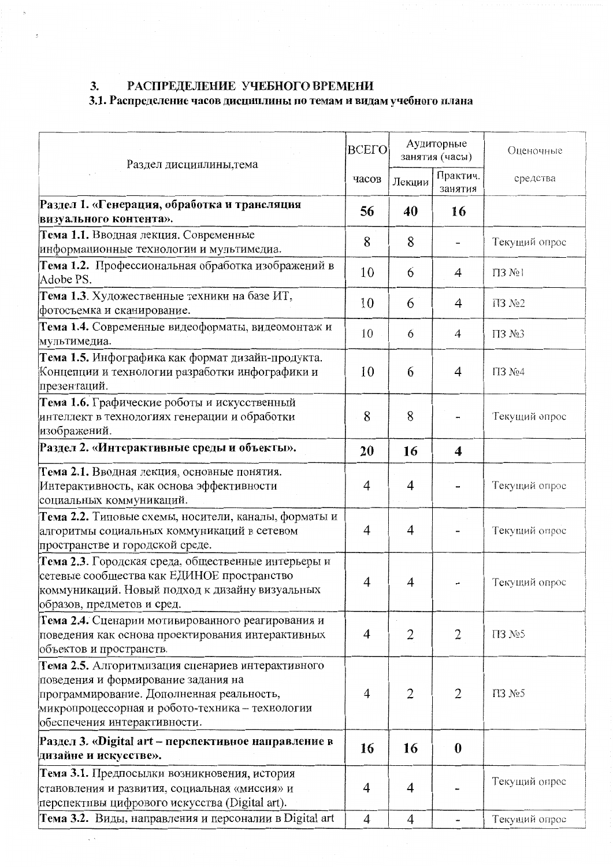$\epsilon$ 

 $\sim$   $\sim$ 

# 3. РАСПРЕДЕЛЕНИЕ УЧЕБНОГО ВРЕМЕНИ<br>3.1. Распределение часов дисциплины по темам и видам учебного плана

| <b>BCELO</b><br>Раздел дисциплины, тема                                                                                                                                                                                  |    | Аудиторные<br>занятия (часы) |                     | Оценочные               |
|--------------------------------------------------------------------------------------------------------------------------------------------------------------------------------------------------------------------------|----|------------------------------|---------------------|-------------------------|
|                                                                                                                                                                                                                          |    | Лекции                       | Практич.<br>занятия | средства                |
| Раздел 1. «Генерация, обработка и трансляция<br>визуального контента».                                                                                                                                                   |    | 40                           | 16                  |                         |
| Тема 1.1. Вводная лекция. Современные<br>информационные технологии и мультимедиа.                                                                                                                                        | 8  | 8                            |                     | Текущий опрос           |
| Тема 1.2. Профессиональная обработка изображений в<br>Adobe PS.                                                                                                                                                          | 10 | 6                            | 4                   | $\Pi 3$ $N_2$ $\vdash$  |
| Тема 1.3. Художественные техники на базе ИТ,<br>фотосъемка и сканирование.                                                                                                                                               | 10 | 6                            | 4                   | $\Pi$ 3 $N2$ 2          |
| Тема 1.4. Современные видеоформаты, видеомонтаж и<br>мультимедиа.                                                                                                                                                        | 10 | 6                            | $\overline{4}$      | $\Pi$ 3 No <sub>3</sub> |
| Тема 1.5. Инфографика как формат дизайн-продукта.<br>Концепции и технологии разработки инфографики и<br>презентаций.                                                                                                     |    | 6                            | 4                   | IT3 No4                 |
| Тема 1.6. Графические роботы и искусственный<br>интеллект в технологиях генерации и обработки<br>изображений.                                                                                                            |    | 8                            |                     | Текущий опрос           |
| Раздел 2. «Интерактивные среды и объекты».                                                                                                                                                                               | 20 | 16                           | 4                   |                         |
| Тема 2.1. Вводная лекция, основные понятия.<br>Интерактивность, как основа эффективности<br>социальных коммуникаций.                                                                                                     |    | 4                            |                     | Текущий опрос           |
| Тема 2.2. Типовые схемы, носители, каналы, форматы и<br>алгоритмы социальных коммуникаций в сетевом<br>пространстве и городской среде.                                                                                   |    | $\overline{4}$               |                     | Текущий опрос           |
| Тема 2.3. Городская среда, общественные интерьеры и<br>сетевые сообщества как ЕДИНОЕ пространство<br>коммуникаций. Новый подход к дизайну визуальных<br>образов, предметов и сред.                                       |    | 4                            |                     | Текущий опрос           |
| Тема 2.4. Сценарии мотивированного реагирования и<br>поведения как основа проектирования интерактивных<br>объектов и пространств.                                                                                        |    | $\overline{2}$               | $\overline{2}$      | $\Pi$ 3 No 5            |
| Тема 2.5. Алгоритмизация сценариев интерактивного<br>поведения и формирование задания на<br>программирование. Дополненная реальность,<br>микропроцессорная и робото-техника - технологии<br>обеспечения интерактивности. |    | 2                            | $\overline{2}$      | T13 №5                  |
| Раздел 3. «Digital art – перспективное направление в<br>дизайне и искусстве».                                                                                                                                            | 16 | 16                           | $\boldsymbol{0}$    |                         |
| Тема 3.1. Предпосылки возникновения, история<br>становления и развития, социальная «миссия» и<br>перспективы цифрового искусства (Digital art).                                                                          |    | 4                            |                     | Текущий опрос           |
| Тема 3.2. Виды, направления и персоналии в Digital art                                                                                                                                                                   | 4  | $\overline{4}$               | -                   | Текущий опрос           |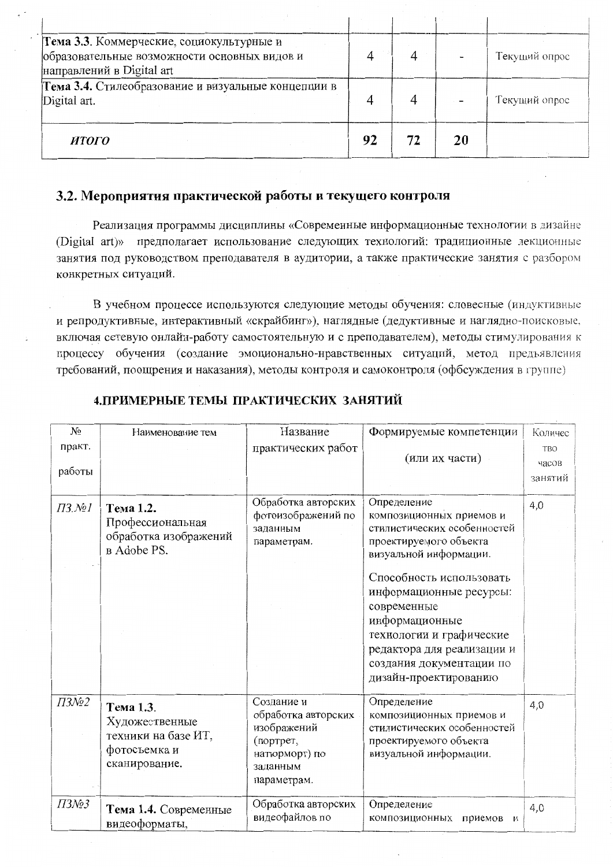| Тема 3.3. Коммерческие, социокультурные и<br>образовательные возможности основных видов и<br>направлений в Digital art |    |    | Текущий опрос |
|------------------------------------------------------------------------------------------------------------------------|----|----|---------------|
| Тема 3.4. Стилеобразование и визуальные концепции в<br>Digital art.                                                    |    |    | Текущий опрос |
| ИТОГО                                                                                                                  | 92 | 20 |               |

### 3.2. Мероприятия практической работы и текущего контроля

Реализация программы дисциплины «Современные информационные технологии в дизайне (Digital art)» предполагает использование следующих технологий: традиционные лекционные занятия под руководством преподавателя в аудитории, а также практические занятия с разбором конкретных ситуаций.

В учебном процессе используются следующие методы обучения: словесные (индуктивные и репродуктивные, интерактивный «скрайбинг»), наглядные (дедуктивные и наглядно-поисковые, включая сетевую онлайн-работу самостоятельную и с преподавателем), методы стимулирования к процессу обучения (создание эмоционально-нравственных ситуаций, метод предъявления требований, поощрения и наказания), методы контроля и самоконтроля (офбсуждения в группе)

| $N_2$                          | Наименование тем                                                                    | Название                                                                                                  | Формируемые компетенции                                                                                                                                                                             | Количес                        |
|--------------------------------|-------------------------------------------------------------------------------------|-----------------------------------------------------------------------------------------------------------|-----------------------------------------------------------------------------------------------------------------------------------------------------------------------------------------------------|--------------------------------|
| практ.<br>работы               |                                                                                     | практических работ                                                                                        | (или их части)                                                                                                                                                                                      | <b>TBO</b><br>часов<br>занятий |
| $\overline{I}3.\overline{N2I}$ | Тема 1.2.<br>Профессиональная<br>обработка изображений<br>в Adobe PS.               | Обработка авторских<br>фотоизображений по<br>заданным<br>параметрам.                                      | Определение<br>композиционных приемов и<br>стилистических особенностей<br>проектируемого объекта<br>визуальной информации.                                                                          | 4,0                            |
|                                |                                                                                     |                                                                                                           | Способность использовать<br>информационные ресурсы:<br>современные<br>информационные<br>технологии и графические<br>редактора для реализации и<br>создания документации по<br>дизайн-проектированию |                                |
| $\overline{I}3N_2$             | Тема 1.3.<br>Художественные<br>техники на базе ИТ,<br>фотосъемка и<br>сканирование. | Создание и<br>обработка авторских<br>изображений<br>(портрет,<br>натюрморт) по<br>заданным<br>параметрам. | Определение<br>композиционных приемов и<br>стилистических особенностей<br>проектируемого объекта<br>визуальной информации.                                                                          | 4,0                            |
| ПЗ№3                           | Тема 1.4. Современные<br>видеоформаты,                                              | Обработка авторских<br>видеофайлов по                                                                     | Определение<br>композиционных<br>приемов<br>И                                                                                                                                                       | 4,0                            |

### 4. ПРИМЕРНЫЕ ТЕМЫ ПРАКТИЧЕСКИХ ЗАНЯТИЙ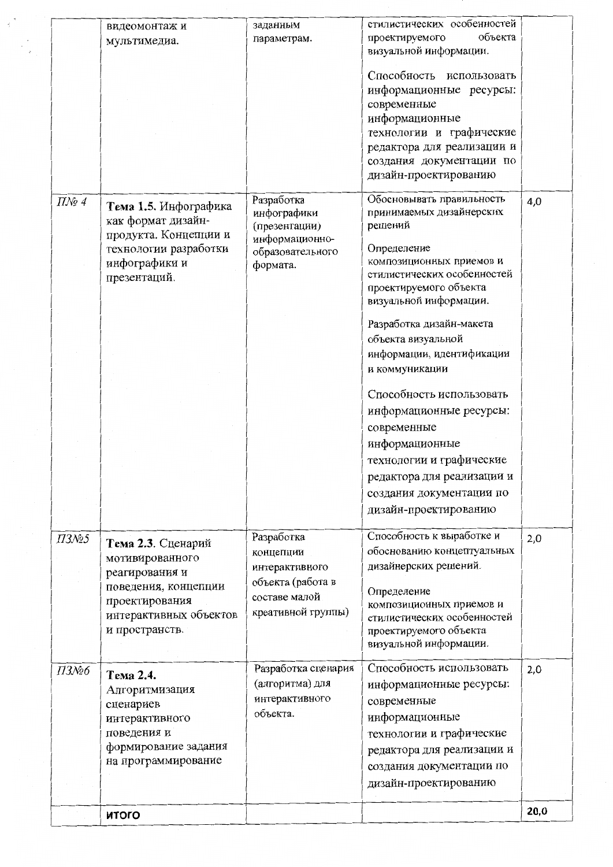|                                 | видеомонтаж и                                                                                                            | заданным<br>параметрам.                                              | стилистических особенностей<br>объекта<br>проектируемого                                                                                                                                               |      |
|---------------------------------|--------------------------------------------------------------------------------------------------------------------------|----------------------------------------------------------------------|--------------------------------------------------------------------------------------------------------------------------------------------------------------------------------------------------------|------|
|                                 | мультимедиа.                                                                                                             |                                                                      | визуальной информации.                                                                                                                                                                                 |      |
|                                 |                                                                                                                          |                                                                      | Способность<br>использовать<br>информационные ресурсы:<br>современные<br>информационные<br>технологии и графические<br>редактора для реализации и<br>создания документации по<br>дизайн-проектированию |      |
| $\mathit{\Pi} \mathit{N}$ o 4   | Тема 1.5. Инфографика<br>как формат дизайн-<br>продукта. Концепции и                                                     | Разработка<br>инфографики<br>(презентации)                           | Обосновывать правильность<br>принимаемых дизайнерских<br>решений                                                                                                                                       | 4,0  |
|                                 | технологии разработки<br>инфографики и<br>презентаций.                                                                   | информационно-<br>образовательного<br>формата.                       | Определение<br>композиционных приемов и<br>стилистических особенностей<br>проектируемого объекта<br>визуальной информации.                                                                             |      |
|                                 |                                                                                                                          |                                                                      | Разработка дизайн-макета<br>объекта визуальной<br>информации, идентификации<br>и коммуникации                                                                                                          |      |
|                                 |                                                                                                                          |                                                                      | Способность использовать<br>информационные ресурсы:<br>современные                                                                                                                                     |      |
|                                 |                                                                                                                          |                                                                      | информационные<br>технологии и графические<br>редактора для реализации и<br>создания документации по                                                                                                   |      |
|                                 |                                                                                                                          |                                                                      | дизайн-проектированию                                                                                                                                                                                  |      |
| $\overline{I}3N$ <sup>o</sup> 5 | Тема 2.3. Сценарий<br>мотивированного                                                                                    | Разработка<br>концепции<br>интерактивного                            | Способность к выработке и<br>обоснованию концептуальных<br>дизайнерских решений.                                                                                                                       | 2,0  |
|                                 | реагирования и<br>поведения, концепции<br>проектирования<br>интерактивных объектов<br>и пространств.                     | объекта (работа в<br>составе малой<br>креативной группы)             | Определение<br>композиционных приемов и<br>стилистических особенностей<br>проектируемого объекта<br>визуальной информации.                                                                             |      |
| ПЗ№6                            | Тема 2.4.<br>Алгоритмизация<br>сценариев<br>интерактивного<br>поведения и<br>формирование задания<br>на программирование | Разработка сценария<br>(алгоритма) для<br>интерактивного<br>объекта. | Способность использовать<br>информационные ресурсы:<br>современные<br>информационные<br>технологии и графические<br>редактора для реализации и<br>создания документации по<br>дизайн-проектированию    | 2,0  |
|                                 |                                                                                                                          |                                                                      |                                                                                                                                                                                                        | 20,0 |
|                                 | <b>ИТОГО</b>                                                                                                             |                                                                      |                                                                                                                                                                                                        |      |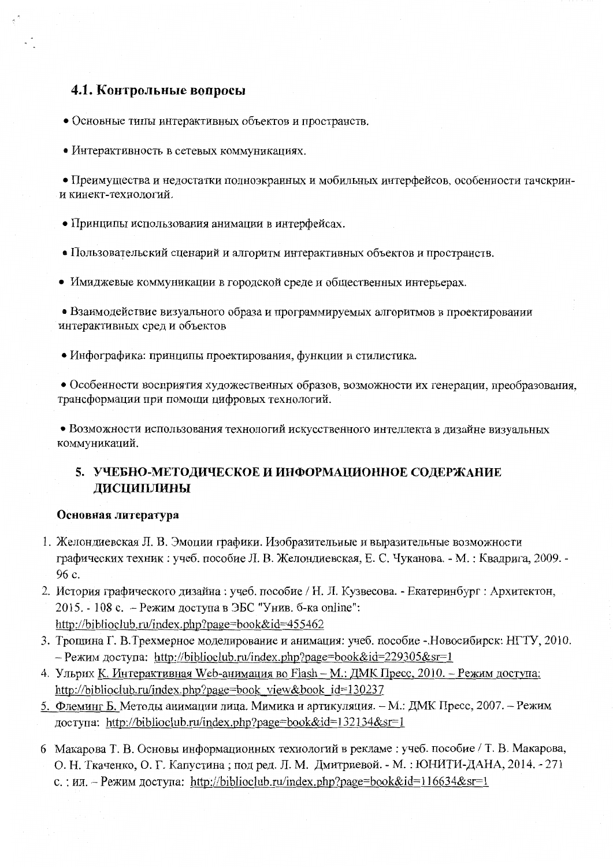# 4.1. Контрольные вопросы

• Основные типы интерактивных объектов и пространств.

• Интерактивность в сетевых коммуникациях.

• Преимущества и недостатки полноэкранных и мобильных интерфейсов, особенности тачскрини кинект-технологий.

- Принципы использования анимации в интерфейсах.
- Пользовательский сценарий и алгоритм интерактивных объектов и пространств.
- Имиджевые коммуникации в городской среде и общественных интерьерах.

• Взаимодействие визуального образа и программируемых алгоритмов в проектировании интерактивных сред и объектов

• Инфографика: принципы проектирования, функции и стилистика.

• Особенности восприятия художественных образов, возможности их генерации, преобразования, трансформации при помощи цифровых технологий.

• Возможности использования технологий искусственного интеллекта в дизайне визуальных коммуникаций.

## 5. УЧЕБНО-МЕТОДИЧЕСКОЕ И ИНФОРМАЦИОННОЕ СОДЕРЖАНИЕ ДИСЦИПЛИНЫ

### Основная литература

- 1. Желондиевская Л. В. Эмоции графики. Изобразительные и выразительные возможности графических техник: учеб. пособие Л. В. Желондиевская, Е. С. Чуканова. - М.: Квадрига, 2009. -96 c.
- 2. История графического дизайна: учеб. пособие / Н. Л. Кузвесова. Екатеринбург: Архитектон, 2015. - 108 с. - Режим доступа в ЭБС "Унив. б-ка online": http://biblioclub.ru/index.php?page=book&id=455462
- 3. Трошина Г. В.Трехмерное моделирование и анимация: учеб. пособие Новосибирск: НГТУ, 2010. - Режим доступа: http://biblioclub.ru/index.php?page=book&id=229305&sr=1
- 4. Ульрих К. Интерактивная Web-анимация во Flash М.: ДМК Пресс, 2010. Режим доступа: http://biblioclub.ru/index.php?page=book view&book id=130237
- 5. Флеминг Б. Методы анимации лица. Мимика и артикуляция. М.: ДМК Пресс, 2007. Режим доступа: http://biblioclub.ru/index.php?page=book&id=132134&sr=1
- 6 Макарова Т. В. Основы информационных технологий в рекламе : учеб. пособие / Т. В. Макарова, О. Н. Ткаченко, О. Г. Капустина; под ред. Л. М. Дмитриевой. - М.: ЮНИТИ-ДАНА, 2014. - 271 с.: ил. - Режим доступа: http://biblioclub.ru/index.php?page=book&id=116634&sr=1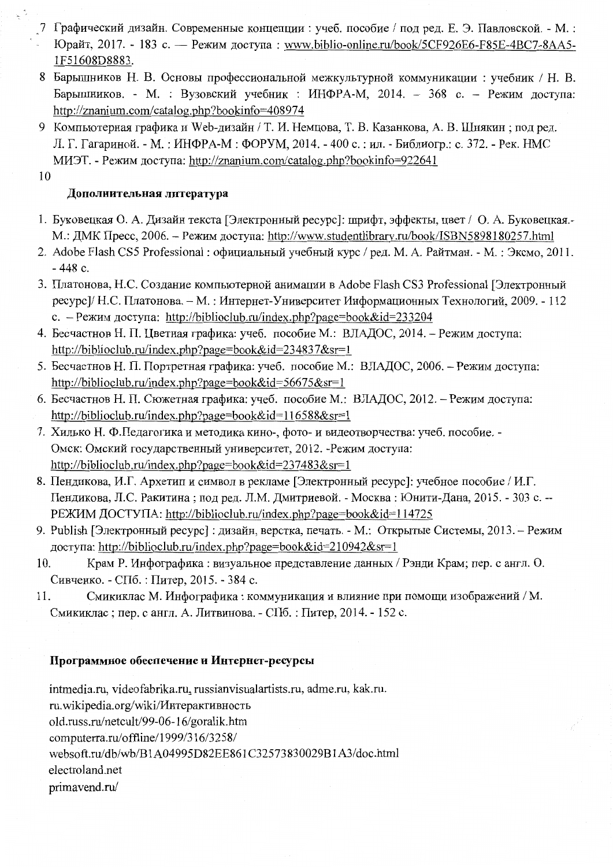- 7 Графический дизайн. Современные концепции: учеб. пособие / под ред. Е. Э. Павловской. М.: Юрайт, 2017. - 183 с. — Режим лоступа: www.biblio-online.ru/book/5CF926E6-F85E-4BC7-8AA5-1F51608D8883.
- 8 Барышников Н. В. Основы профессиональной межкультурной коммуникации: учебник / Н. В. Барышников. - М. : Вузовский учебник : ИНФРА-М, 2014. - 368 с. - Режим доступа: http://znanium.com/catalog.php?bookinfo=408974
- 9 Компьютерная графика и Web-дизайн / Т. И. Немцова, Т. В. Казанкова, А. В. Шнякин; под ред. Л. Г. Гагариной. - М.: ИНФРА-М: ФОРУМ, 2014. - 400 с.: ил. - Библиогр.: с. 372. - Рек. НМС МИЭТ. - Режим доступа: http://znanium.com/catalog.php?bookinfo=922641

10

 $\frac{1}{2}$   $\frac{1}{2}$ 

### Дополнительная литература

- 1. Буковецкая О. А. Дизайн текста [Электронный ресурс]: шрифт, эффекты, цвет / О. А. Буковецкая.-М.: ДМК Пресс, 2006. - Режим доступа: http://www.studentlibrary.ru/book/ISBN5898180257.html
- 2. Adobe Flash CS5 Professional: официальный учебный курс / ред. М. А. Райтман. М.: Эксмо, 2011.  $-448c$ .
- 3. Платонова, Н.С. Создание компьютерной анимации в Adobe Flash CS3 Professional [Электронный ресурс]/ Н.С. Платонова. - М.: Интернет-Университет Информационных Технологий, 2009. - 112 с. – Режим доступа: http://biblioclub.ru/index.php?page=book&id=233204
- 4. Бесчастнов Н. П. Цветная графика: учеб. пособие М.: ВЛАДОС, 2014. Режим доступа: http://biblioclub.ru/index.php?page=book&id=234837&sr=1
- 5. Бесчастнов Н. П. Портретная графика: учеб. пособие М.: ВЛАДОС, 2006. Режим доступа: http://biblioclub.ru/index.php?page=book&id=56675&sr=1
- 6. Бесчастнов Н. П. Сюжетная графика: учеб. пособие М.: ВЛАДОС, 2012. Режим доступа: http://biblioclub.ru/index.php?page=book&id=116588&sr=1
- 7. Хилько Н. Ф.Педагогика и методика кино-, фото- и видеотворчества: учеб. пособие. -Омск: Омский государственный университет, 2012. - Режим доступа: http://biblioclub.ru/index.php?page=book&id=237483&sr=1
- 8. Пендикова, И.Г. Архетип и символ в рекламе [Электронный ресурс]: учебное пособие / И.Г. Пендикова, Л.С. Ракитина; под ред. Л.М. Дмитриевой. - Москва: Юнити-Дана, 2015. - 303 с. --РЕЖИМ ДОСТУПА: http://biblioclub.ru/index.php?page=book&id=114725
- 9. Publish [Электронный ресурс] : дизайн, верстка, печать. М.: Открытые Системы, 2013. Режим доступа: http://biblioclub.ru/index.php?page=book&id=210942&sr=1
- Крам Р. Инфографика: визуальное представление данных / Рэнди Крам; пер. с англ. О. 10. Сивченко. - СПб. : Питер, 2015. - 384 с.
- Смикиклас М. Инфографика: коммуникация и влияние при помощи изображений / М. 11. Смикиклас; пер. с англ. А. Литвинова. - СПб.: Питер, 2014. - 152 с.

### Программное обеспечение и Интернет-ресурсы

intmedia.ru, videofabrika.ru, russianvisualartists.ru, adme.ru, kak.ru. ru.wikipedia.org/wiki/Интерактивность old.russ.ru/netcult/99-06-16/goralik.htm computerra.ru/offline/1999/316/3258/ websoft.ru/db/wb/B1A04995D82EE861C32573830029B1A3/doc.html electroland.net primavend.ru/